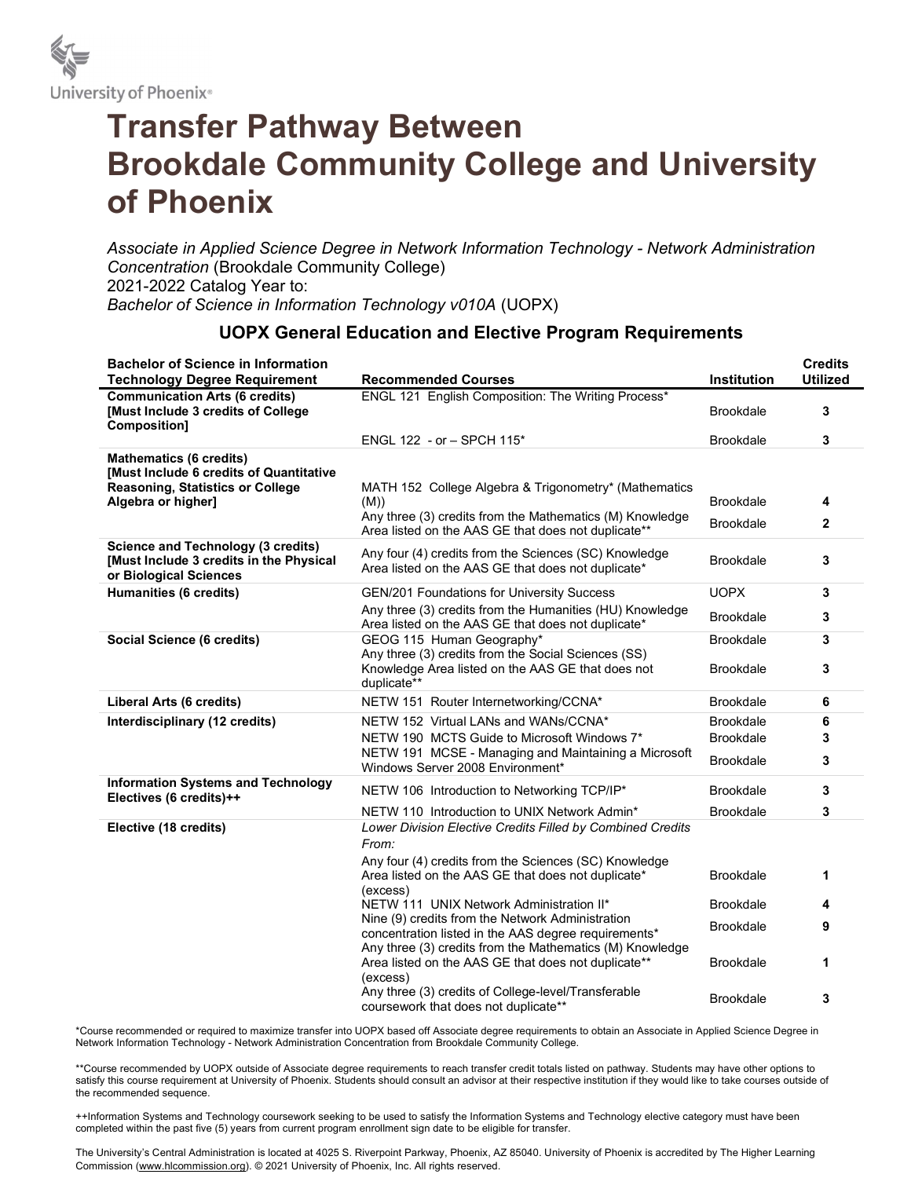

## Transfer Pathway Between Brookdale Community College and University of Phoenix

Associate in Applied Science Degree in Network Information Technology - Network Administration Concentration (Brookdale Community College) 2021-2022 Catalog Year to: Bachelor of Science in Information Technology v010A (UOPX)

## UOPX General Education and Elective Program Requirements

| <b>Bachelor of Science in Information</b><br><b>Technology Degree Requirement</b>                              | <b>Recommended Courses</b>                                                                                              | Institution      | <b>Credits</b><br><b>Utilized</b> |
|----------------------------------------------------------------------------------------------------------------|-------------------------------------------------------------------------------------------------------------------------|------------------|-----------------------------------|
| <b>Communication Arts (6 credits)</b><br>[Must Include 3 credits of College<br>Composition]                    | ENGL 121 English Composition: The Writing Process*                                                                      | <b>Brookdale</b> | 3                                 |
|                                                                                                                | ENGL 122 - or - SPCH 115*                                                                                               | <b>Brookdale</b> | 3                                 |
| <b>Mathematics (6 credits)</b>                                                                                 |                                                                                                                         |                  |                                   |
| [Must Include 6 credits of Quantitative<br><b>Reasoning, Statistics or College</b>                             | MATH 152 College Algebra & Trigonometry* (Mathematics                                                                   |                  |                                   |
| Algebra or higher]                                                                                             | (M))                                                                                                                    | <b>Brookdale</b> | 4                                 |
|                                                                                                                | Any three (3) credits from the Mathematics (M) Knowledge                                                                | <b>Brookdale</b> | $\mathbf{2}$                      |
|                                                                                                                | Area listed on the AAS GE that does not duplicate**                                                                     |                  |                                   |
| <b>Science and Technology (3 credits)</b><br>[Must Include 3 credits in the Physical<br>or Biological Sciences | Any four (4) credits from the Sciences (SC) Knowledge<br>Area listed on the AAS GE that does not duplicate*             | <b>Brookdale</b> | 3                                 |
| Humanities (6 credits)                                                                                         | <b>GEN/201 Foundations for University Success</b>                                                                       | <b>UOPX</b>      | 3                                 |
|                                                                                                                | Any three (3) credits from the Humanities (HU) Knowledge<br>Area listed on the AAS GE that does not duplicate*          | <b>Brookdale</b> | 3                                 |
| Social Science (6 credits)                                                                                     | GEOG 115 Human Geography*                                                                                               | <b>Brookdale</b> | 3                                 |
|                                                                                                                | Any three (3) credits from the Social Sciences (SS)<br>Knowledge Area listed on the AAS GE that does not<br>duplicate** | <b>Brookdale</b> | 3                                 |
| Liberal Arts (6 credits)                                                                                       | NETW 151 Router Internetworking/CCNA*                                                                                   | <b>Brookdale</b> | 6                                 |
| Interdisciplinary (12 credits)                                                                                 | NETW 152 Virtual LANs and WANs/CCNA*                                                                                    | <b>Brookdale</b> | 6                                 |
|                                                                                                                | NETW 190 MCTS Guide to Microsoft Windows 7*                                                                             | <b>Brookdale</b> | 3                                 |
|                                                                                                                | NETW 191 MCSE - Managing and Maintaining a Microsoft<br>Windows Server 2008 Environment*                                | <b>Brookdale</b> | 3                                 |
| <b>Information Systems and Technology</b><br>Electives (6 credits)++                                           | NETW 106 Introduction to Networking TCP/IP*                                                                             | <b>Brookdale</b> | 3                                 |
|                                                                                                                | NETW 110 Introduction to UNIX Network Admin*                                                                            | <b>Brookdale</b> | 3                                 |
| Elective (18 credits)                                                                                          | Lower Division Elective Credits Filled by Combined Credits                                                              |                  |                                   |
|                                                                                                                | From:                                                                                                                   |                  |                                   |
|                                                                                                                | Any four (4) credits from the Sciences (SC) Knowledge                                                                   |                  |                                   |
|                                                                                                                | Area listed on the AAS GE that does not duplicate*                                                                      | <b>Brookdale</b> | 1                                 |
|                                                                                                                | (excess)<br>NETW 111 UNIX Network Administration II*                                                                    | <b>Brookdale</b> | 4                                 |
|                                                                                                                | Nine (9) credits from the Network Administration                                                                        |                  |                                   |
|                                                                                                                | concentration listed in the AAS degree requirements*                                                                    | <b>Brookdale</b> | 9                                 |
|                                                                                                                | Any three (3) credits from the Mathematics (M) Knowledge                                                                |                  |                                   |
|                                                                                                                | Area listed on the AAS GE that does not duplicate**                                                                     | <b>Brookdale</b> | 1                                 |
|                                                                                                                | (excess)<br>Any three (3) credits of College-level/Transferable                                                         |                  |                                   |
|                                                                                                                | coursework that does not duplicate**                                                                                    | <b>Brookdale</b> | 3                                 |

 \*Course recommended or required to maximize transfer into UOPX based off Associate degree requirements to obtain an Associate in Applied Science Degree in Network Information Technology - Network Administration Concentration from Brookdale Community College.

\*\*Course recommended by UOPX outside of Associate degree requirements to reach transfer credit totals listed on pathway. Students may have other options to satisfy this course requirement at University of Phoenix. Students should consult an advisor at their respective institution if they would like to take courses outside of the recommended sequence.

++Information Systems and Technology coursework seeking to be used to satisfy the Information Systems and Technology elective category must have been completed within the past five (5) years from current program enrollment sign date to be eligible for transfer.

The University's Central Administration is located at 4025 S. Riverpoint Parkway, Phoenix, AZ 85040. University of Phoenix is accredited by The Higher Learning Commission (www.hlcommission.org). © 2021 University of Phoenix, Inc. All rights reserved.